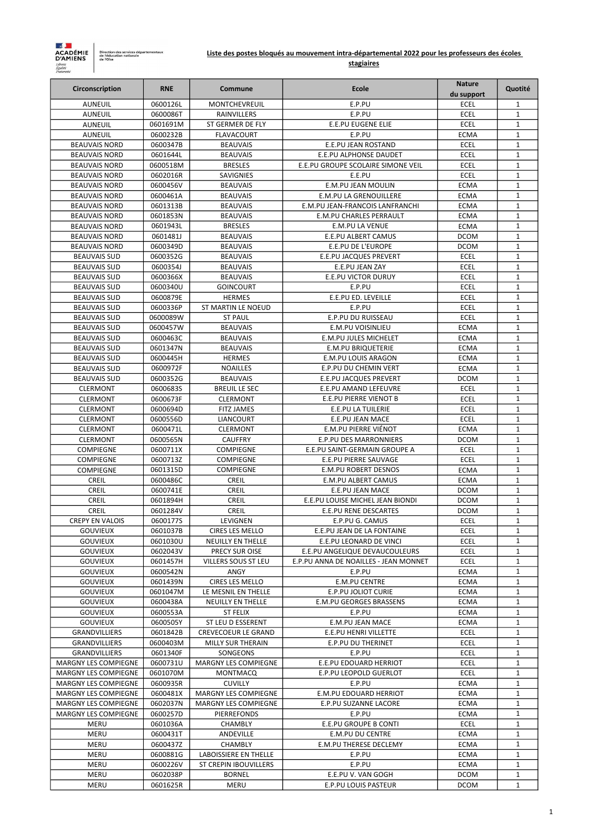| Circonscription                    | <b>RNE</b>           | Commune                                       | <b>Ecole</b>                                    | <b>Nature</b>              | Quotité                      |
|------------------------------------|----------------------|-----------------------------------------------|-------------------------------------------------|----------------------------|------------------------------|
|                                    |                      |                                               |                                                 | du support                 |                              |
| <b>AUNEUIL</b>                     | 0600126L             | <b>MONTCHEVREUIL</b>                          | E.P.PU<br>E.P.PU                                | <b>ECEL</b><br><b>ECEL</b> | $\mathbf{1}$                 |
| <b>AUNEUIL</b><br><b>AUNEUIL</b>   | 0600086T<br>0601691M | <b>RAINVILLERS</b><br>ST GERMER DE FLY        | <b>E.E.PU EUGENE ELIE</b>                       | <b>ECEL</b>                | $\mathbf{1}$<br>$\mathbf{1}$ |
| <b>AUNEUIL</b>                     | 0600232B             | <b>FLAVACOURT</b>                             | E.P.PU                                          | <b>ECMA</b>                | $\mathbf{1}$                 |
| <b>BEAUVAIS NORD</b>               | 0600347B             | <b>BEAUVAIS</b>                               | E.E.PU JEAN ROSTAND                             | <b>ECEL</b>                | $\mathbf{1}$                 |
| <b>BEAUVAIS NORD</b>               | 0601644L             | <b>BEAUVAIS</b>                               | E.E.PU ALPHONSE DAUDET                          | <b>ECEL</b>                | $\mathbf{1}$                 |
| <b>BEAUVAIS NORD</b>               | 0600518M             | <b>BRESLES</b>                                | E.E.PU GROUPE SCOLAIRE SIMONE VEIL              | <b>ECEL</b>                | $\mathbf{1}$                 |
| <b>BEAUVAIS NORD</b>               | 0602016R             | SAVIGNIES                                     | E.E.PU                                          | <b>ECEL</b>                | 1                            |
| <b>BEAUVAIS NORD</b>               | 0600456V             | <b>BEAUVAIS</b>                               | <b>E.M.PU JEAN MOULIN</b>                       | <b>ECMA</b>                | $\mathbf{1}$                 |
| <b>BEAUVAIS NORD</b>               | 0600461A             | <b>BEAUVAIS</b>                               | <b>E.M.PU LA GRENOUILLERE</b>                   | <b>ECMA</b>                | $\mathbf{1}$                 |
| <b>BEAUVAIS NORD</b>               | 0601313B             | <b>BEAUVAIS</b>                               | E.M.PU JEAN-FRANCOIS LANFRANCHI                 | <b>ECMA</b>                | $\mathbf{1}$                 |
| <b>BEAUVAIS NORD</b>               | 0601853N             | <b>BEAUVAIS</b>                               | <b>E.M.PU CHARLES PERRAULT</b>                  | <b>ECMA</b>                | $\mathbf{1}$                 |
| <b>BEAUVAIS NORD</b>               | 0601943L             | <b>BRESLES</b>                                | <b>E.M.PU LA VENUE</b>                          | <b>ECMA</b>                | $\mathbf{1}$                 |
| <b>BEAUVAIS NORD</b>               | 0601481J             | <b>BEAUVAIS</b>                               | E.E.PU ALBERT CAMUS                             | <b>DCOM</b>                | $\mathbf{1}$                 |
| <b>BEAUVAIS NORD</b>               | 0600349D             | <b>BEAUVAIS</b>                               | E.E.PU DE L'EUROPE                              | <b>DCOM</b>                | $\mathbf{1}$                 |
| <b>BEAUVAIS SUD</b>                | 0600352G             | <b>BEAUVAIS</b>                               | <b>E.E.PU JACQUES PREVERT</b>                   | <b>ECEL</b>                | $\mathbf{1}$                 |
| <b>BEAUVAIS SUD</b>                | 0600354J             | <b>BEAUVAIS</b>                               | E.E.PU JEAN ZAY                                 | <b>ECEL</b>                | $\mathbf{1}$                 |
| <b>BEAUVAIS SUD</b>                | 0600366X             | <b>BEAUVAIS</b>                               | <b>E.E.PU VICTOR DURUY</b>                      | <b>ECEL</b>                | $\mathbf{1}$                 |
| <b>BEAUVAIS SUD</b>                | 0600340U             | <b>GOINCOURT</b>                              | E.P.PU                                          | <b>ECEL</b>                | $\mathbf{1}$                 |
| <b>BEAUVAIS SUD</b>                | 0600879E             | <b>HERMES</b>                                 | E.E.PU ED. LEVEILLE                             | <b>ECEL</b>                | $\mathbf{1}$                 |
| <b>BEAUVAIS SUD</b>                | 0600336P             | <b>ST MARTIN LE NOEUD</b>                     | E.P.PU                                          | <b>ECEL</b>                | $\mathbf{1}$                 |
| <b>BEAUVAIS SUD</b>                | 0600089W             | <b>ST PAUL</b>                                | E.P.PU DU RUISSEAU                              | <b>ECEL</b>                | $\mathbf{1}$                 |
| <b>BEAUVAIS SUD</b>                | 0600457W             | <b>BEAUVAIS</b>                               | <b>E.M.PU VOISINLIEU</b>                        | <b>ECMA</b>                | $\mathbf{1}$                 |
| <b>BEAUVAIS SUD</b>                | 0600463C             | <b>BEAUVAIS</b>                               | E.M.PU JULES MICHELET                           | <b>ECMA</b>                | $\mathbf{1}$                 |
| <b>BEAUVAIS SUD</b>                | 0601347N             | <b>BEAUVAIS</b>                               | <b>E.M.PU BRIQUETERIE</b>                       | <b>ECMA</b>                | $\mathbf{1}$                 |
| <b>BEAUVAIS SUD</b>                | 0600445H             | <b>HERMES</b>                                 | <b>E.M.PU LOUIS ARAGON</b>                      | <b>ECMA</b>                | $\mathbf{1}$                 |
| <b>BEAUVAIS SUD</b>                | 0600972F             | <b>NOAILLES</b>                               | E.P.PU DU CHEMIN VERT                           | <b>ECMA</b>                | $\mathbf{1}$                 |
| <b>BEAUVAIS SUD</b>                | 0600352G             | <b>BEAUVAIS</b>                               | <b>E.E.PU JACQUES PREVERT</b>                   | <b>DCOM</b>                | $\mathbf{1}$                 |
| <b>CLERMONT</b>                    | 0600683S             | <b>BREUIL LE SEC</b>                          | E.E.PU AMAND LEFEUVRE                           | <b>ECEL</b>                | $\mathbf{1}$                 |
| <b>CLERMONT</b>                    | 0600673F             | <b>CLERMONT</b>                               | <b>E.E.PU PIERRE VIENOT B</b>                   | <b>ECEL</b>                | $\mathbf{1}$                 |
| <b>CLERMONT</b>                    | 0600694D             | <b>FITZ JAMES</b>                             | E.E.PU LA TUILERIE                              | <b>ECEL</b>                | $\mathbf{1}$                 |
| <b>CLERMONT</b><br><b>CLERMONT</b> | 0600556D<br>0600471L | <b>LIANCOURT</b><br><b>CLERMONT</b>           | <b>E.E.PU JEAN MACE</b><br>E.M.PU PIERRE VIÉNOT | <b>ECEL</b>                | $\mathbf{1}$<br>$\mathbf{1}$ |
| <b>CLERMONT</b>                    | 0600565N             | <b>CAUFFRY</b>                                | <b>E.P.PU DES MARRONNIERS</b>                   | <b>ECMA</b><br><b>DCOM</b> | $\mathbf{1}$                 |
| <b>COMPIEGNE</b>                   | 0600711X             | <b>COMPIEGNE</b>                              | E.E.PU SAINT-GERMAIN GROUPE A                   | <b>ECEL</b>                | $\mathbf{1}$                 |
| <b>COMPIEGNE</b>                   | 0600713Z             | <b>COMPIEGNE</b>                              | E.E.PU PIERRE SAUVAGE                           | <b>ECEL</b>                | $\mathbf{1}$                 |
| <b>COMPIEGNE</b>                   | 0601315D             | <b>COMPIEGNE</b>                              | <b>E.M.PU ROBERT DESNOS</b>                     | <b>ECMA</b>                | $\mathbf{1}$                 |
| <b>CREIL</b>                       | 0600486C             | <b>CREIL</b>                                  | <b>E.M.PU ALBERT CAMUS</b>                      | <b>ECMA</b>                | $\mathbf{1}$                 |
| <b>CREIL</b>                       | 0600741E             | <b>CREIL</b>                                  | E.E.PU JEAN MACE                                | <b>DCOM</b>                | $\mathbf{1}$                 |
| <b>CREIL</b>                       | 0601894H             | <b>CREIL</b>                                  | E.E.PU LOUISE MICHEL JEAN BIONDI                | <b>DCOM</b>                | $\mathbf{1}$                 |
| <b>CREIL</b>                       | 0601284V             | <b>CREIL</b>                                  | E.E.PU RENE DESCARTES                           | <b>DCOM</b>                | $\mathbf{1}$                 |
| <b>CREPY EN VALOIS</b>             | 0600177S             | LEVIGNEN                                      | E.P.PU G. CAMUS                                 | <b>ECEL</b>                | $\mathbf{1}$                 |
| <b>GOUVIEUX</b>                    | 0601037B             | <b>CIRES LES MELLO</b>                        | E.E.PU JEAN DE LA FONTAINE                      | <b>ECEL</b>                | $\mathbf{1}$                 |
| <b>GOUVIEUX</b>                    | 0601030U             | <b>NEUILLY EN THELLE</b>                      | E.E.PU LEONARD DE VINCI                         | <b>ECEL</b>                | $\mathbf{1}$                 |
| <b>GOUVIEUX</b>                    | 0602043V             | PRECY SUR OISE                                | E.E.PU ANGELIQUE DEVAUCOULEURS                  | <b>ECEL</b>                | $\mathbf{1}$                 |
| <b>GOUVIEUX</b>                    | 0601457H             | <b>VILLERS SOUS ST LEU</b>                    | E.P.PU ANNA DE NOAILLES - JEAN MONNET           | <b>ECEL</b>                | $\mathbf{1}$                 |
| <b>GOUVIEUX</b>                    | 0600542N             | ANGY                                          | E.P.PU                                          | <b>ECMA</b>                | $\mathbf{1}$                 |
| <b>GOUVIEUX</b>                    | 0601439N             | <b>CIRES LES MELLO</b>                        | <b>E.M.PU CENTRE</b>                            | <b>ECMA</b>                | $\mathbf{1}$                 |
| <b>GOUVIEUX</b>                    | 0601047M             | LE MESNIL EN THELLE                           | <b>E.P.PU JOLIOT CURIE</b>                      | <b>ECMA</b>                | $\mathbf{1}$                 |
| <b>GOUVIEUX</b>                    | 0600438A             | <b>NEUILLY EN THELLE</b>                      | <b>E.M.PU GEORGES BRASSENS</b>                  | <b>ECMA</b>                | $\mathbf{1}$                 |
| <b>GOUVIEUX</b>                    | 0600553A             | <b>ST FELIX</b>                               | E.P.PU                                          | <b>ECMA</b>                | $\mathbf{1}$                 |
| <b>GOUVIEUX</b>                    | 0600505Y             | ST LEU D ESSERENT                             | <b>E.M.PU JEAN MACE</b>                         | <b>ECMA</b>                | $\mathbf{1}$                 |
| <b>GRANDVILLIERS</b>               | 0601842B             | <b>CREVECOEUR LE GRAND</b>                    | <b>E.E.PU HENRI VILLETTE</b>                    | <b>ECEL</b>                | $\mathbf{1}$                 |
| <b>GRANDVILLIERS</b>               | 0600403M             | <b>MILLY SUR THERAIN</b>                      | <b>E.P.PU DU THERINET</b>                       | <b>ECEL</b>                | $\mathbf{1}$                 |
| <b>GRANDVILLIERS</b>               | 0601340F             | SONGEONS                                      | E.P.PU                                          | <b>ECEL</b>                | $\mathbf{1}$                 |
| <b>MARGNY LES COMPIEGNE</b>        | 0600731U             | MARGNY LES COMPIEGNE                          | E.E.PU EDOUARD HERRIOT                          | <b>ECEL</b>                | $\mathbf{1}$                 |
| <b>MARGNY LES COMPIEGNE</b>        | 0601070M             | <b>MONTMACQ</b>                               | E.P.PU LEOPOLD GUERLOT                          | <b>ECEL</b>                | $\mathbf{1}$                 |
| <b>MARGNY LES COMPIEGNE</b>        | 0600935R             | <b>CUVILLY</b>                                | E.P.PU                                          | <b>ECMA</b>                | $\mathbf{1}$                 |
| <b>MARGNY LES COMPIEGNE</b>        | 0600481X             | <b>MARGNY LES COMPIEGNE</b>                   | <b>E.M.PU EDOUARD HERRIOT</b>                   | <b>ECMA</b>                | $\mathbf{1}$                 |
| <b>MARGNY LES COMPIEGNE</b>        | 0602037N             | MARGNY LES COMPIEGNE                          | E.P.PU SUZANNE LACORE                           | <b>ECMA</b>                | 1                            |
| <b>MARGNY LES COMPIEGNE</b>        | 0600257D             | <b>PIERREFONDS</b>                            | E.P.PU                                          | <b>ECMA</b>                | $\mathbf{1}$                 |
| <b>MERU</b>                        | 0601036A             | <b>CHAMBLY</b>                                | E.E.PU GROUPE B CONTI                           | <b>ECEL</b>                | 1                            |
| <b>MERU</b>                        | 0600431T             | <b>ANDEVILLE</b>                              | <b>E.M.PU DU CENTRE</b>                         | <b>ECMA</b>                | $\mathbf{1}$                 |
| <b>MERU</b>                        | 0600437Z             | <b>CHAMBLY</b>                                | <b>E.M.PU THERESE DECLEMY</b>                   | <b>ECMA</b>                | $\mathbf{1}$                 |
| <b>MERU</b>                        | 0600881G             | LABOISSIERE EN THELLE                         | E.P.PU                                          | <b>ECMA</b>                | 1                            |
| <b>MERU</b><br><b>MERU</b>         | 0600226V             | <b>ST CREPIN IBOUVILLERS</b><br><b>BORNEL</b> | E.P.PU<br>E.E.PU V. VAN GOGH                    | <b>ECMA</b><br><b>DCOM</b> | $\mathbf{1}$                 |
| <b>MERU</b>                        | 0602038P<br>0601625R | <b>MERU</b>                                   | E.P.PU LOUIS PASTEUR                            | <b>DCOM</b>                | $\mathbf{1}$<br>$\mathbf{1}$ |
|                                    |                      |                                               |                                                 |                            |                              |



Liste des postes bloqués au mouvement intra-départemental 2022 pour les professeurs des écoles

stagiaires

1